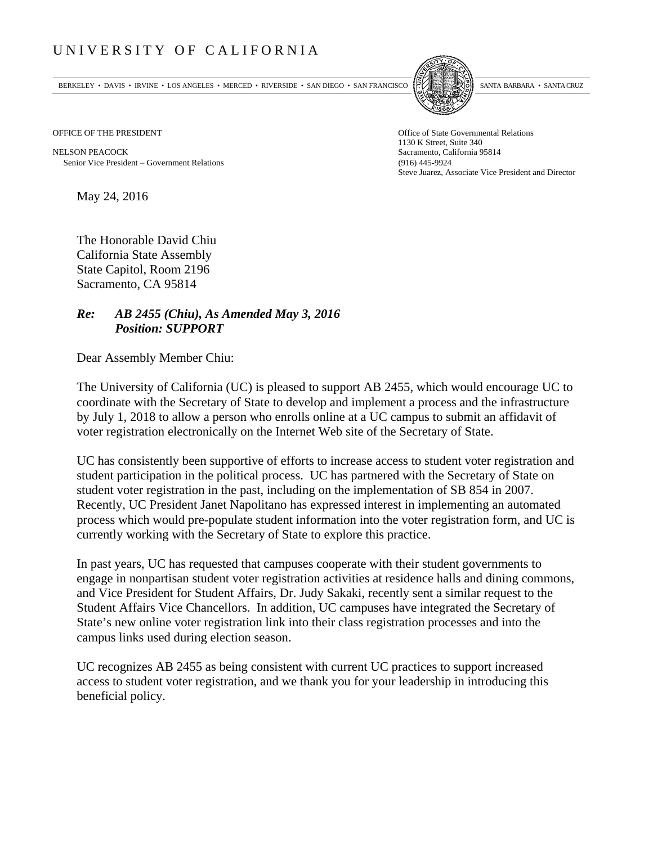## UNIVERSITY OF CALIFORNIA

BERKELEY • DAVIS • IRVINE • LOS ANGELES • MERCED • RIVERSIDE • SAN DIEGO • SAN FRANCISCO SANTA BARBARA • SANTA CRUZ



NELSON PEACOCK Sacramento, California 95814 Senior Vice President Government Relations (916) 445-9924

OFFICE OF THE PRESIDENT STATES OF THE PRESIDENT 1130 K Street, Suite 340 Steve Juarez, Associate Vice President and Director

May 24, 2016

The Honorable David Chiu California State Assembly State Capitol, Room 2196 Sacramento, CA 95814

## *Re: AB 2455 (Chiu), As Amended May 3, 2016 Position: SUPPORT*

Dear Assembly Member Chiu:

The University of California (UC) is pleased to support AB 2455, which would encourage UC to coordinate with the Secretary of State to develop and implement a process and the infrastructure by July 1, 2018 to allow a person who enrolls online at a UC campus to submit an affidavit of voter registration electronically on the Internet Web site of the Secretary of State.

UC has consistently been supportive of efforts to increase access to student voter registration and student participation in the political process. UC has partnered with the Secretary of State on student voter registration in the past, including on the implementation of SB 854 in 2007. Recently, UC President Janet Napolitano has expressed interest in implementing an automated process which would pre-populate student information into the voter registration form, and UC is currently working with the Secretary of State to explore this practice.

In past years, UC has requested that campuses cooperate with their student governments to engage in nonpartisan student voter registration activities at residence halls and dining commons, and Vice President for Student Affairs, Dr. Judy Sakaki, recently sent a similar request to the Student Affairs Vice Chancellors. In addition, UC campuses have integrated the Secretary of State's new online voter registration link into their class registration processes and into the campus links used during election season.

UC recognizes AB 2455 as being consistent with current UC practices to support increased access to student voter registration, and we thank you for your leadership in introducing this beneficial policy.